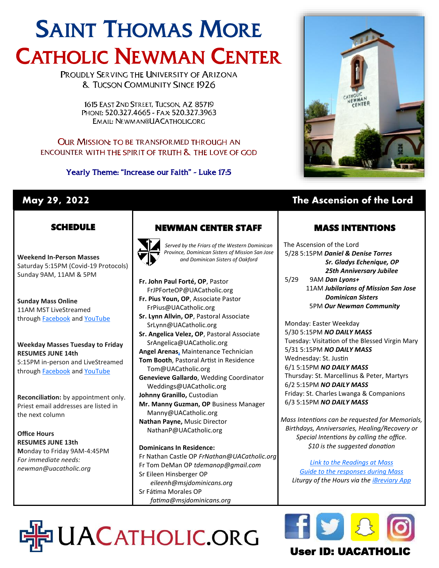# SAINT THOMAS MORE CATHOLIC NEWMAN CENTER

PROUDLY SERVING THE UNIVERSITY OF ARIZONA **& TUCSON COMMUNITY SINCE 1926** 

> 1615 EAST 2ND STREET. TUCSON, AZ 85719 PHONE: 520.327.4665 - FAX: 520.327.3963 EMAIL: NEWMAN@UACATHOLIC.ORG

#### **OUR MISSION: TO BE TRANSFORMED THROUGH AN** ENCOUNTER WITH THE SPIRIT OF TRUTH & THE LOVE OF GOD

Yearly Theme: "Increase our Faith" - Luke 17:5



# **May 29, 2022 The Ascension of the Lord**

### **SCHEDULE**

**Weekend In-Person Masses**  Saturday 5:15PM (Covid-19 Protocols) Sunday 9AM, 11AM & 5PM

**Sunday Mass Online** 11AM MST LiveStreamed through **[Facebook](http://www.facebook.com/uacatholic/live)** and YouTube

#### **Weekday Masses Tuesday to Friday RESUMES JUNE 14th** 5:15PM in-person and LiveStreamed

through **[Facebook](http://www.facebook.com/uacatholic/live)** and [YouTube](http://www.youtube.com/uacatholic)

**Reconciliation:** by appointment only. Priest email addresses are listed in the next column

**Office Hours RESUMES JUNE 13th M**onday to Friday 9AM-4:45PM *For immediate needs: newman@uacatholic.org*

# NEWMAN CENTER STAFF



*Served by the Friars of the Western Dominican Province, Dominican Sisters of Mission San Jose and Dominican Sisters of Oakford*

- **Fr. John Paul Forté, OP**, Pastor FrJPForteOP@UACatholic.org **Fr. Pius Youn, OP**, Associate Pastor FrPius@UACatholic.org
- **Sr. Lynn Allvin, OP**, Pastoral Associate SrLynn@UACatholic.org
- **Sr. Angelica Velez, OP**, Pastoral Associate SrAngelica@UACatholic.org
- **Angel Arenas[,](https://diocesetucson.org/human-resources/employment-opportunities/?gnk=job&gni=8a78859e7ce7e880017d542227cb4d42)** Maintenance Technician **Tom Booth**, Pastoral Artist in Residence
- Tom@UACatholic.org **Genevieve Gallardo**, Wedding Coordinator Weddings@UACatholic.org
- **Johnny Granillo,** Custodian
- **Mr. Manny Guzman, OP** Business Manager Manny@UACatholic.org **Nathan Payne,** Music Director
- NathanP@UACatholic.org

#### **Dominicans In Residence:**

DHPUACATHOLIC.ORG

Fr Nathan Castle OP *FrNathan@UACatholic.org* Fr Tom DeMan OP *tdemanop@gmail.com* Sr Eileen Hinsberger OP *eileenh@msjdominicans.org* Sr Fátima Morales OP  *fatima@msjdominicans.org*

MASS INTENTIONS

The Ascension of the Lord 5/28 5:15PM *Daniel & Denise Torres Sr. Gladys Echenique, OP 25th Anniversary Jubilee* 5/29 9AM *Dan Lyons+* 11AM *Jubilarians of Mission San Jose* 

 *Dominican Sisters* 5PM *Our Newman Community*

Monday: Easter Weekday 5/30 5:15PM *NO DAILY MASS* Tuesday: Visitation of the Blessed Virgin Mary 5/31 5:15PM *NO DAILY MASS* Wednesday: St. Justin 6/1 5:15PM *NO DAILY MASS* Thursday: St. Marcellinus & Peter, Martyrs 6/2 5:15PM *NO DAILY MASS* Friday: St. Charles Lwanga & Companions 6/3 5:15PM *NO DAILY MASS*

*Mass Intentions can be requested for Memorials, Birthdays, Anniversaries, Healing/Recovery or Special Intentions by calling the office. \$10 is the suggested donation*

*[Link to the Readings at Mass](http://usccb.org/readings) [Guide to the responses during Mass](https://universalis.com/static/mass/orderofmass.htm) Liturgy of the Hours via the [iBreviary App](https://www.ibreviary.org/en/)*



# User ID: UACATHO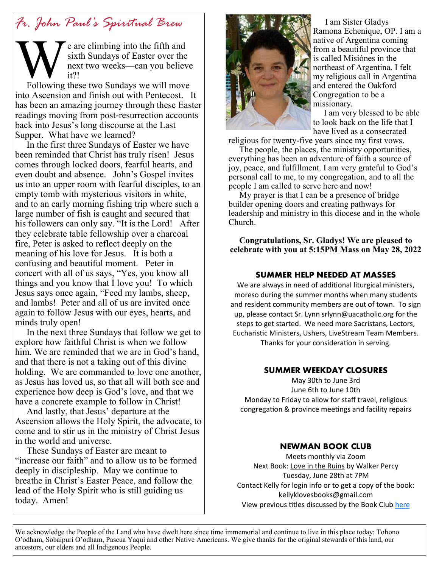# *Fr. John Paul's Spiritual Brew*

e are climbing into the fifth and sixth Sundays of Easter over the next two weeks—can you believe it?!

**W**<br>Following Following these two Sundays we will move into Ascension and finish out with Pentecost. It has been an amazing journey through these Easter readings moving from post-resurrection accounts back into Jesus's long discourse at the Last Supper. What have we learned?

 In the first three Sundays of Easter we have been reminded that Christ has truly risen! Jesus comes through locked doors, fearful hearts, and even doubt and absence. John's Gospel invites us into an upper room with fearful disciples, to an empty tomb with mysterious visitors in white, and to an early morning fishing trip where such a large number of fish is caught and secured that his followers can only say. "It is the Lord! After they celebrate table fellowship over a charcoal fire, Peter is asked to reflect deeply on the meaning of his love for Jesus. It is both a confusing and beautiful moment. Peter in concert with all of us says, "Yes, you know all things and you know that I love you! To which Jesus says once again, "Feed my lambs, sheep, and lambs! Peter and all of us are invited once again to follow Jesus with our eyes, hearts, and minds truly open!

 In the next three Sundays that follow we get to explore how faithful Christ is when we follow him. We are reminded that we are in God's hand, and that there is not a taking out of this divine holding. We are commanded to love one another, as Jesus has loved us, so that all will both see and experience how deep is God's love, and that we have a concrete example to follow in Christ!

 And lastly, that Jesus' departure at the Ascension allows the Holy Spirit, the advocate, to come and to stir us in the ministry of Christ Jesus in the world and universe.

 These Sundays of Easter are meant to "increase our faith" and to allow us to be formed deeply in discipleship. May we continue to breathe in Christ's Easter Peace, and follow the lead of the Holy Spirit who is still guiding us today. Amen!



 I am Sister Gladys Ramona Echenique, OP. I am a native of Argentina coming from a beautiful province that is called Misiónes in the northeast of Argentina. I felt my religious call in Argentina and entered the Oakford Congregation to be a missionary.

 I am very blessed to be able to look back on the life that I have lived as a consecrated

religious for twenty-five years since my first vows.

 The people, the places, the ministry opportunities, everything has been an adventure of faith a source of joy, peace, and fulfillment. I am very grateful to God's personal call to me, to my congregation, and to all the people I am called to serve here and now!

 My prayer is that I can be a presence of bridge builder opening doors and creating pathways for leadership and ministry in this diocese and in the whole Church.

**Congratulations, Sr. Gladys! We are pleased to celebrate with you at 5:15PM Mass on May 28, 2022**

#### **SUMMER HELP NEEDED AT MASSES**

We are always in need of additional liturgical ministers, moreso during the summer months when many students and resident community members are out of town. To sign up, please contact Sr. Lynn srlynn@uacatholic.org for the steps to get started. We need more Sacristans, Lectors, Eucharistic Ministers, Ushers, LiveStream Team Members. Thanks for your consideration in serving.

#### **SUMMER WEEKDAY CLOSURES**

May 30th to June 3rd June 6th to June 10th Monday to Friday to allow for staff travel, religious congregation & province meetings and facility repairs

#### **NEWMAN BOOK CLUB**

Meets monthly via Zoom Next Book: Love in the Ruins by Walker Percy Tuesday, June 28th at 7PM Contact Kelly for login info or to get a copy of the book: kellyklovesbooks@gmail.com View previous titles discussed by the Book Club [here](https://www.goodreads.com/group/bookshelf/1128855-newman-book-club?order=d&per_page=30&shelf=read&sort=date_added&view=main)

We acknowledge the People of the Land who have dwelt here since time immemorial and continue to live in this place today: Tohono O'odham, Sobaipuri O'odham, Pascua Yaqui and other Native Americans. We give thanks for the original stewards of this land, our ancestors, our elders and all Indigenous People.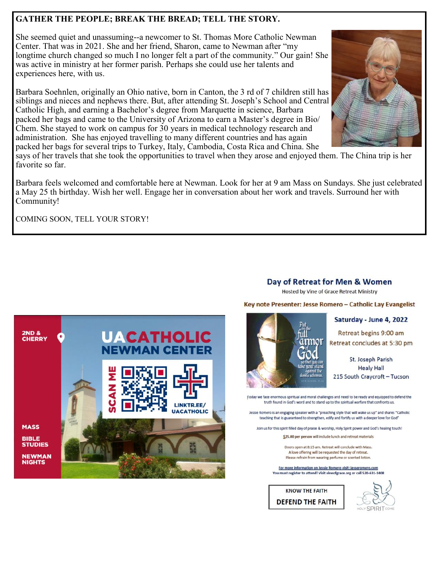#### **GATHER THE PEOPLE; BREAK THE BREAD; TELL THE STORY.**

She seemed quiet and unassuming--a newcomer to St. Thomas More Catholic Newman Center. That was in 2021. She and her friend, Sharon, came to Newman after "my longtime church changed so much I no longer felt a part of the community." Our gain! She was active in ministry at her former parish. Perhaps she could use her talents and experiences here, with us.

Barbara Soehnlen, originally an Ohio native, born in Canton, the 3 rd of 7 children still has siblings and nieces and nephews there. But, after attending St. Joseph's School and Central Catholic High, and earning a Bachelor's degree from Marquette in science, Barbara packed her bags and came to the University of Arizona to earn a Master's degree in Bio/ Chem. She stayed to work on campus for 30 years in medical technology research and administration. She has enjoyed travelling to many different countries and has again packed her bags for several trips to Turkey, Italy, Cambodia, Costa Rica and China. She



Barbara feels welcomed and comfortable here at Newman. Look for her at 9 am Mass on Sundays. She just celebrated a May 25 th birthday. Wish her well. Engage her in conversation about her work and travels. Surround her with Community!

COMING SOON, TELL YOUR STORY!

#### Day of Retreat for Men & Women

Hosted by Vine of Grace Retreat Ministry

Key note Presenter: Jesse Romero - Catholic Lay Evangelist

## Retreat begins 9:00 am Retreat concludes at 5:30 pm

St. Joseph Parish **Healy Hall** 215 South Craycroft - Tucson

Saturday - June 4, 2022

Foday we face enormous spiritual and moral challenges and need to be ready and equipped to defend the truth found in God's word and to stand up to the spiritual warfare that confronts us.

Jessie Romero is an engaging speaker with a "preaching style that will wake us up" and shares "Catholic teaching that is guaranteed to strengthen, edify and fortify us with a deeper love for God"

Join us for this spirit filled day of praise & worship, Holy Spirit power and God's healing touch!

\$25.00 per person will include lunch and retreat materials

Doors open at 8:15 am. Retreat will conclude with Mass. A love offering will be requested the day of retreat. Please refrain from wearing perfume or scented lotion.

For more information on Jessie Romero visit: jesseromero.com You must register to attend! Visit vineofgrace.org or call 520-631-1408

**KNOW THE FAITH DEFEND THE FAITH**